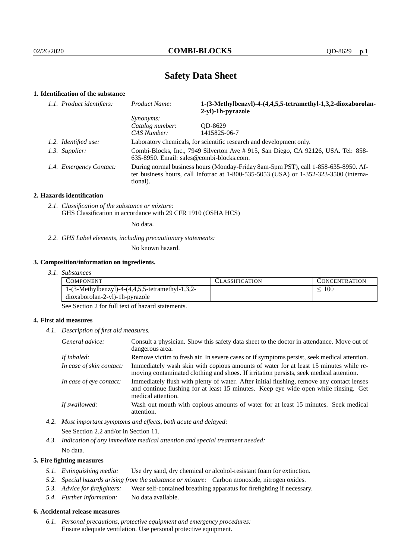# **Safety Data Sheet**

# **1. Identification of the substance**

| 1.1. Product identifiers: |                         | Product Name:                                                                                                                                                                           | 1-(3-Methylbenzyl)-4-(4,4,5,5-tetramethyl-1,3,2-dioxaborolan-<br>2-yl)-1h-pyrazole |  |
|---------------------------|-------------------------|-----------------------------------------------------------------------------------------------------------------------------------------------------------------------------------------|------------------------------------------------------------------------------------|--|
|                           |                         | <i>Synonyms:</i>                                                                                                                                                                        |                                                                                    |  |
|                           |                         | Catalog number:                                                                                                                                                                         | OD-8629                                                                            |  |
|                           |                         | CAS Number:                                                                                                                                                                             | 1415825-06-7                                                                       |  |
|                           | 1.2. Identified use:    | Laboratory chemicals, for scientific research and development only.                                                                                                                     |                                                                                    |  |
|                           | 1.3. Supplier:          | Combi-Blocks, Inc., 7949 Silverton Ave # 915, San Diego, CA 92126, USA. Tel: 858-<br>635-8950. Email: sales@combi-blocks.com.                                                           |                                                                                    |  |
|                           | 1.4. Emergency Contact: | During normal business hours (Monday-Friday 8am-5pm PST), call 1-858-635-8950. Af-<br>ter business hours, call Infotrac at 1-800-535-5053 (USA) or 1-352-323-3500 (interna-<br>tional). |                                                                                    |  |

#### **2. Hazards identification**

*2.1. Classification of the substance or mixture:* GHS Classification in accordance with 29 CFR 1910 (OSHA HCS)

No data.

*2.2. GHS Label elements, including precautionary statements:*

No known hazard.

#### **3. Composition/information on ingredients.**

*3.1. Substances*

| COMPONENT                                                 | <b>ASSIFICATION</b> | CONCENTRATION |
|-----------------------------------------------------------|---------------------|---------------|
| 1- $(3$ -Methylbenzyl)-4- $(4,4,5,5)$ -tetramethyl-1,3,2- |                     | 100           |
| dioxaborolan-2-yl)-1h-pyrazole                            |                     |               |

See Section 2 for full text of hazard statements.

## **4. First aid measures**

*4.1. Description of first aid measures.*

| General advice:          | Consult a physician. Show this safety data sheet to the doctor in attendance. Move out of<br>dangerous area.                                                                                            |  |
|--------------------------|---------------------------------------------------------------------------------------------------------------------------------------------------------------------------------------------------------|--|
| If inhaled:              | Remove victim to fresh air. In severe cases or if symptoms persist, seek medical attention.                                                                                                             |  |
| In case of skin contact: | Immediately wash skin with copious amounts of water for at least 15 minutes while re-<br>moving contaminated clothing and shoes. If irritation persists, seek medical attention.                        |  |
| In case of eye contact:  | Immediately flush with plenty of water. After initial flushing, remove any contact lenses<br>and continue flushing for at least 15 minutes. Keep eye wide open while rinsing. Get<br>medical attention. |  |
| If swallowed:            | Wash out mouth with copious amounts of water for at least 15 minutes. Seek medical<br>attention.                                                                                                        |  |

*4.2. Most important symptoms and effects, both acute and delayed:* See Section 2.2 and/or in Section 11.

*4.3. Indication of any immediate medical attention and special treatment needed:* No data.

## **5. Fire fighting measures**

- *5.1. Extinguishing media:* Use dry sand, dry chemical or alcohol-resistant foam for extinction.
- *5.2. Special hazards arising from the substance or mixture:* Carbon monoxide, nitrogen oxides.
- *5.3. Advice for firefighters:* Wear self-contained breathing apparatus for firefighting if necessary.
- *5.4. Further information:* No data available.

## **6. Accidental release measures**

*6.1. Personal precautions, protective equipment and emergency procedures:* Ensure adequate ventilation. Use personal protective equipment.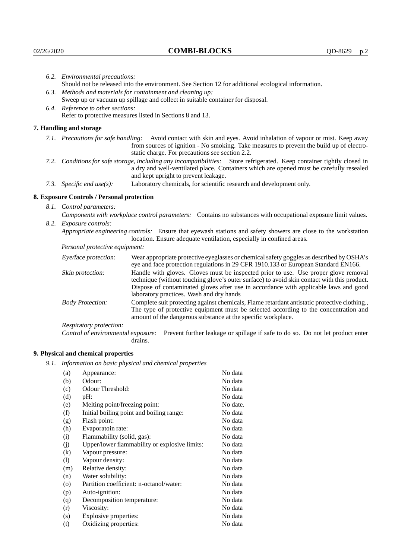|                                                                                | 6.2. Environmental precautions:                                                                                                                                                                                                                                    |                                                                                                                                                                                        |  |  |  |
|--------------------------------------------------------------------------------|--------------------------------------------------------------------------------------------------------------------------------------------------------------------------------------------------------------------------------------------------------------------|----------------------------------------------------------------------------------------------------------------------------------------------------------------------------------------|--|--|--|
|                                                                                | Should not be released into the environment. See Section 12 for additional ecological information.                                                                                                                                                                 |                                                                                                                                                                                        |  |  |  |
|                                                                                | 6.3. Methods and materials for containment and cleaning up:                                                                                                                                                                                                        |                                                                                                                                                                                        |  |  |  |
| Sweep up or vacuum up spillage and collect in suitable container for disposal. |                                                                                                                                                                                                                                                                    |                                                                                                                                                                                        |  |  |  |
|                                                                                | 6.4. Reference to other sections:                                                                                                                                                                                                                                  |                                                                                                                                                                                        |  |  |  |
|                                                                                |                                                                                                                                                                                                                                                                    | Refer to protective measures listed in Sections 8 and 13.                                                                                                                              |  |  |  |
|                                                                                | 7. Handling and storage                                                                                                                                                                                                                                            |                                                                                                                                                                                        |  |  |  |
|                                                                                | 7.1. Precautions for safe handling: Avoid contact with skin and eyes. Avoid inhalation of vapour or mist. Keep away<br>from sources of ignition - No smoking. Take measures to prevent the build up of electro-<br>static charge. For precautions see section 2.2. |                                                                                                                                                                                        |  |  |  |
|                                                                                | 7.2. Conditions for safe storage, including any incompatibilities: Store refrigerated. Keep container tightly closed in<br>a dry and well-ventilated place. Containers which are opened must be carefully resealed<br>and kept upright to prevent leakage.         |                                                                                                                                                                                        |  |  |  |
|                                                                                | 7.3. Specific end use(s):                                                                                                                                                                                                                                          | Laboratory chemicals, for scientific research and development only.                                                                                                                    |  |  |  |
|                                                                                | 8. Exposure Controls / Personal protection                                                                                                                                                                                                                         |                                                                                                                                                                                        |  |  |  |
|                                                                                | 8.1. Control parameters:                                                                                                                                                                                                                                           |                                                                                                                                                                                        |  |  |  |
|                                                                                | Components with workplace control parameters: Contains no substances with occupational exposure limit values.                                                                                                                                                      |                                                                                                                                                                                        |  |  |  |
|                                                                                | 8.2. Exposure controls:                                                                                                                                                                                                                                            |                                                                                                                                                                                        |  |  |  |
|                                                                                |                                                                                                                                                                                                                                                                    | Appropriate engineering controls: Ensure that eyewash stations and safety showers are close to the workstation<br>location. Ensure adequate ventilation, especially in confined areas. |  |  |  |
|                                                                                | Personal protective equipment:                                                                                                                                                                                                                                     |                                                                                                                                                                                        |  |  |  |
|                                                                                | Eye/face protection:                                                                                                                                                                                                                                               | Wear appropriate protective eyeglasses or chemical safety goggles as described by OSHA's<br>eye and face protection regulations in 29 CFR 1910.133 or European Standard EN166.         |  |  |  |
|                                                                                | Skin protection:                                                                                                                                                                                                                                                   | Handle with gloves. Gloves must be inspected prior to use. Use proper glove removal<br>technique (without touching glove's outer surface) to avoid skin contact with this product.     |  |  |  |

# **8. Exposure Controls / Personal protection**

| Eye/face protection:               | Wear appropriate protective eyeglasses or chemical safety goggles as described by OSHA's<br>eye and face protection regulations in 29 CFR 1910.133 or European Standard EN166.                                                                                                                                         |                                                                                                                                                                                                                                                      |  |
|------------------------------------|------------------------------------------------------------------------------------------------------------------------------------------------------------------------------------------------------------------------------------------------------------------------------------------------------------------------|------------------------------------------------------------------------------------------------------------------------------------------------------------------------------------------------------------------------------------------------------|--|
| Skin protection:                   | Handle with gloves. Gloves must be inspected prior to use. Use proper glove removal<br>technique (without touching glove's outer surface) to avoid skin contact with this product.<br>Dispose of contaminated gloves after use in accordance with applicable laws and good<br>laboratory practices. Wash and dry hands |                                                                                                                                                                                                                                                      |  |
| <b>Body Protection:</b>            |                                                                                                                                                                                                                                                                                                                        | Complete suit protecting against chemicals, Flame retardant antistatic protective clothing.,<br>The type of protective equipment must be selected according to the concentration and<br>amount of the dangerous substance at the specific workplace. |  |
| Respiratory protection:            |                                                                                                                                                                                                                                                                                                                        |                                                                                                                                                                                                                                                      |  |
| Control of environmental exposure: | drains.                                                                                                                                                                                                                                                                                                                | Prevent further leakage or spillage if safe to do so. Do not let product enter                                                                                                                                                                       |  |

# **9. Physical and chemical properties**

*9.1. Information on basic physical and chemical properties*

| (a)                        | Appearance:                                   | No data  |
|----------------------------|-----------------------------------------------|----------|
| (b)                        | Odour:                                        | No data  |
| (c)                        | Odour Threshold:                              | No data  |
| (d)                        | $pH$ :                                        | No data  |
| (e)                        | Melting point/freezing point:                 | No date. |
| (f)                        | Initial boiling point and boiling range:      | No data  |
| (g)                        | Flash point:                                  | No data  |
| (h)                        | Evaporatoin rate:                             | No data  |
| (i)                        | Flammability (solid, gas):                    | No data  |
| (j)                        | Upper/lower flammability or explosive limits: | No data  |
| (k)                        | Vapour pressure:                              | No data  |
| $\left( \mathrm{l}\right)$ | Vapour density:                               | No data  |
| (m)                        | Relative density:                             | No data  |
| (n)                        | Water solubility:                             | No data  |
| $\rm (o)$                  | Partition coefficient: n-octanol/water:       | No data  |
| (p)                        | Auto-ignition:                                | No data  |
| (q)                        | Decomposition temperature:                    | No data  |
| (r)                        | Viscosity:                                    | No data  |
| (s)                        | Explosive properties:                         | No data  |
| (t)                        | Oxidizing properties:                         | No data  |